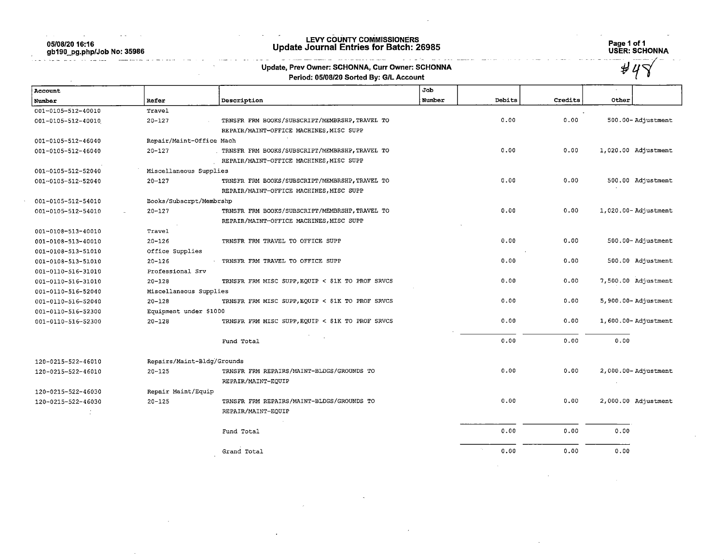05/08/20 16:16 gb190\_pg.php/Job No: 35986

 $\label{eq:2.1} \mathcal{L}_{\mathcal{A}}(x) = \mathcal{L}_{\mathcal{A}}(x) + \mathcal{L}_{\mathcal{A}}(x) + \mathcal{L}_{\mathcal{A}}(x) + \mathcal{L}_{\mathcal{A}}(x) + \mathcal{L}_{\mathcal{A}}(x) + \mathcal{L}_{\mathcal{A}}(x)$ 

 $\sim$   $\sim$ 

## LEVY COUNTY COMMISSIONERS Update Journal Entries for Batch: 26985 Page 1 of 1

المناسب

i al  $\sim 10^{-1}$ 

 $\sim$   $\sim$  $\sim$   $\sim$  Page 1 of 1<br>USER: SCHONNA<br>Andreas Allen (1996)

 $\sim 10^{11}$  km

and the process of the company

 $\sim 10^{-1}$ 

 $\sim$ 

**Continued** 

|                    |                          | Period: 05/08/20 Sorted By: G/L Account          |        |        |         |                         |
|--------------------|--------------------------|--------------------------------------------------|--------|--------|---------|-------------------------|
| Account            |                          |                                                  | Job    |        |         |                         |
| Number             | Refer                    | Description                                      | Number | Debits | Credits | Other                   |
| 001-0105-512-40010 | Travel                   |                                                  |        |        |         |                         |
| 001-0105-512-40010 | $20 - 127$               | TRNSFR FRM BOOKS/SUBSCRIPT/MEMBRSHP, TRAVEL TO   |        | 0.00   | 0.00    | 500.00-Adjustment       |
|                    |                          | REPAIR/MAINT-OFFICE MACHINES, MISC SUPP          |        |        |         |                         |
| 001-0105-512-46040 | Repair/Maint-Office Mach |                                                  |        |        |         |                         |
| 001-0105-512-46040 | $20 - 127$               | TRNSFR FRM BOOKS/SUBSCRIPT/MEMBRSHP, TRAVEL TO   |        | 0.00   | 0.00    | 1,020.00 Adjustment     |
|                    |                          | REPAIR/MAINT-OFFICE MACHINES, MISC SUPP          |        |        |         |                         |
| 001-0105-512-52040 | Miscellaneous Supplies   |                                                  |        |        |         |                         |
| 001-0105-512-52040 | $20 - 127$               | TRNSFR FRM BOOKS/SUBSCRIPT/MEMBRSHP, TRAVEL TO   |        | 0.00   | 0.00    | 500.00 Adjustment       |
|                    |                          | REPAIR/MAINT-OFFICE MACHINES, MISC SUPP          |        |        |         |                         |
| 001-0105-512-54010 | Books/Subscrpt/Membrshp  |                                                  |        |        |         |                         |
| 001-0105-512-54010 | $20 - 127$               | TRNSFR FRM BOOKS/SUBSCRIPT/MEMBRSHP, TRAVEL TO   |        | 0.00   | 0.00    | 1,020.00-Adjustment     |
|                    |                          | REPAIR/MAINT-OFFICE MACHINES, MISC SUPP          |        |        |         |                         |
| 001-0108-513-40010 | Travel                   |                                                  |        |        |         |                         |
| 001-0108-513-40010 | $20 - 126$               | TRNSFR FRM TRAVEL TO OFFICE SUPP                 |        | 0.00   | 0.00    | 500.00-Adjustment       |
| 001-0108-513-51010 | Office Supplies          |                                                  |        |        |         |                         |
| 001-0108-513-51010 | $20 - 126$               | TRNSFR FRM TRAVEL TO OFFICE SUPP                 |        | 0.00   | 0.00    | 500.00 Adjustment       |
| 001-0110-516-31010 | Professional Srv         |                                                  |        |        |         |                         |
| 001-0110-516-31010 | $20 - 128$               | TRNSFR FRM MISC SUPP, EQUIP < \$1K TO PROF SRVCS |        | 0.00   | 0.00    | 7,500.00 Adjustment     |
| 001-0110-516-52040 | Miscellaneous Supplies   |                                                  |        |        |         |                         |
| 001-0110-516-52040 | $20 - 128$               | TRNSFR FRM MISC SUPP, EQUIP < \$1K TO PROF SRVCS |        | 0.00   | 0.00    | 5,900.00-Adjustment     |
| 001-0110-516-52300 | Equipment under \$1000   |                                                  |        |        |         |                         |
| 001-0110-516-52300 | $20 - 128$               | TRNSFR FRM MISC SUPP, EQUIP < \$1K TO PROF SRVCS |        | 0.00   | 0.00    | 1,600.00-Adjustment     |
|                    |                          | Fund Total                                       |        | 0.00   | 0.00    | 0.00                    |
| 120-0215-522-46010 |                          | Repairs/Maint-Bldg/Grounds                       |        |        |         |                         |
| 120-0215-522-46010 | $20 - 125$               | TRNSFR FRM REPAIRS/MAINT-BLDGS/GROUNDS TO        |        | 0.00   | 0.00    | $2,000.00 -$ Adjustment |
|                    |                          | REPAIR/MAINT-EQUIP                               |        |        |         |                         |
| 120-0215-522-46030 | Repair Maint/Equip       |                                                  |        |        |         |                         |
| 120-0215-522-46030 | $20 - 125$               | TRNSFR FRM REPAIRS/MAINT-BLDGS/GROUNDS TO        |        | 0.00   | 0.00    | 2,000.00 Adjustment     |
|                    |                          | REPAIR/MAINT-EQUIP                               |        |        |         |                         |
|                    |                          | Fund Total                                       |        | 0.00   | 0.00    | 0.00                    |
|                    |                          | Grand Total                                      |        | 0.00   | 0.00    | 0.00                    |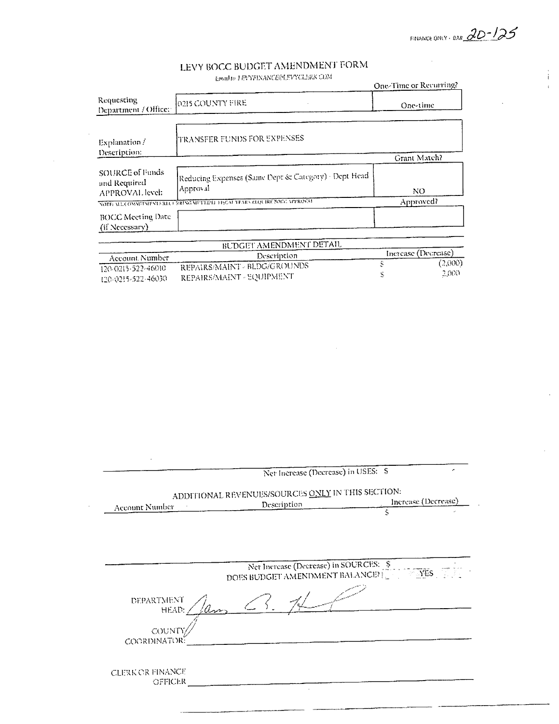FINANCE ONLY - BAR  $2D^{-1}25$ 

 $\sim$   $\sim$ 

## LEVY BOCC BUDGET AMENDMENT FORM

 $\label{thm:main}$  Is<br>mad to  $1$  EVNEINANCE@LEVNCLERK COM-

 $\sim$ 

|                                                    | EMBIRD I EL TURQUACTE I TABILIAS SON                             | One-Time or Recurring? |
|----------------------------------------------------|------------------------------------------------------------------|------------------------|
| Requesting<br>Department / Office:                 | 0215 COUNTY FIRE                                                 | One-time               |
| Explanation/<br>Description:                       | TRANSFER FUNDS FOR EXPENSES                                      |                        |
|                                                    |                                                                  | Grant Match?           |
| SOURCE of Funds<br>and Required<br>APPROVAL level: | Reducing Expenses (Same Dept & Category) - Dept Head<br>Approval | NO.                    |
|                                                    | NOTE MA COMMUNISTATION RENGIMEERED HIGH YEARNELOURE ROLL OPROVAL | Approved?              |
| <b>BOCC Meeting Date</b><br>(if Necessary)         |                                                                  |                        |

| RUDGEI AMENDMENT DETAIL |                              |  |                     |  |  |
|-------------------------|------------------------------|--|---------------------|--|--|
| - Account Number -      | Description                  |  | Increase (Decrease) |  |  |
|                         | REPAIRS/MAINT - BLDG/GROUNDS |  | (2,000)             |  |  |
| 120-0215-522-46010      |                              |  | 2.000.              |  |  |
| 120-0215-522-46030      | REPAIRS/MAINT - SQUIPMENT    |  |                     |  |  |

|                     | Net Increase (Decrease) in USES: \$                                                  |   |                     |
|---------------------|--------------------------------------------------------------------------------------|---|---------------------|
|                     | ADDITIONAL REVENUES/SOURCES ONLY IN THIS SECTION:<br>Description                     |   | Increase (Decrease) |
| Account Number      |                                                                                      | Š |                     |
|                     |                                                                                      |   |                     |
|                     | Net Increase (Decrease) in SOURCES: \$<br>DOES BUDGET AMENDMENT BALANCE? [COLORGIES] |   |                     |
|                     |                                                                                      |   |                     |
|                     |                                                                                      |   |                     |
| DEPARTMENT<br>HEAD. |                                                                                      |   |                     |
| COUNT               |                                                                                      |   |                     |
| COORDINATOR:        |                                                                                      |   |                     |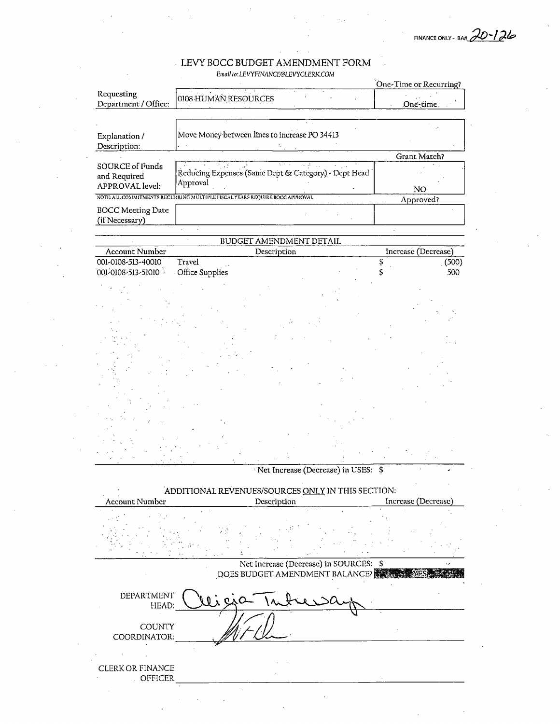FINANCE ONLY - BAH  $20 - 126$ 

### $\blacksquare$  LEVY BOCC BUDGET AMENDMENT FORM

Email to: LEVYFINANCE@LEVYCLERK.COM

|                          |                                                                            |                                        |  | One-Time or Recurring? |       |
|--------------------------|----------------------------------------------------------------------------|----------------------------------------|--|------------------------|-------|
| Requesting               | 0108 HUMAN RESOURCES                                                       |                                        |  |                        |       |
| Department / Office:     |                                                                            |                                        |  | One-time.              |       |
|                          |                                                                            |                                        |  |                        |       |
|                          | Move Money between lines to increase PO 34413                              |                                        |  |                        |       |
| Explanation /            |                                                                            |                                        |  |                        |       |
| Description:             |                                                                            |                                        |  | Grant Match?           |       |
| <b>SOURCE of Funds</b>   |                                                                            |                                        |  |                        |       |
| and Required             | Reducing Expenses (Same Dept & Category) - Dept Head                       |                                        |  |                        |       |
| <b>APPROVAL</b> level:   | Approval                                                                   |                                        |  | NO                     |       |
|                          | NOTE ALL COMMITMENTS RECURRING MULTIPLE PISCAL YEARS REQUIRE BOCC APPROVAL |                                        |  | Approved?              |       |
| <b>BOCC Meeting Date</b> |                                                                            |                                        |  |                        |       |
| (if Necessary)           |                                                                            |                                        |  |                        |       |
|                          |                                                                            |                                        |  |                        |       |
|                          |                                                                            | BUDGET AMENDMENT DETAIL                |  |                        |       |
| Account Number           |                                                                            | Description                            |  | Increase (Decrease)    |       |
| 001-0108-513-40010       | Travel                                                                     |                                        |  | \$                     | (500) |
| 001-0108-513-51010       | <b>Office Supplies</b>                                                     |                                        |  | \$                     | 500   |
|                          |                                                                            |                                        |  |                        |       |
|                          |                                                                            |                                        |  |                        |       |
|                          |                                                                            |                                        |  |                        |       |
|                          |                                                                            |                                        |  |                        |       |
|                          |                                                                            |                                        |  |                        |       |
|                          |                                                                            |                                        |  |                        |       |
|                          |                                                                            |                                        |  |                        |       |
|                          |                                                                            |                                        |  |                        |       |
|                          |                                                                            |                                        |  |                        |       |
|                          |                                                                            |                                        |  |                        |       |
|                          |                                                                            |                                        |  |                        |       |
|                          |                                                                            |                                        |  |                        |       |
|                          |                                                                            |                                        |  |                        |       |
|                          |                                                                            |                                        |  |                        |       |
|                          |                                                                            |                                        |  |                        |       |
|                          |                                                                            |                                        |  |                        |       |
|                          |                                                                            |                                        |  |                        |       |
|                          |                                                                            | Net Increase (Decrease) in USES: \$    |  |                        |       |
|                          | ADDITIONAL REVENUES/SOURCES ONLY IN THIS SECTION:                          |                                        |  |                        |       |
| <b>Account Number</b>    |                                                                            | Description                            |  | Increase (Decrease)    |       |
|                          |                                                                            |                                        |  |                        |       |
|                          |                                                                            |                                        |  |                        |       |
|                          |                                                                            |                                        |  |                        |       |
|                          |                                                                            |                                        |  |                        |       |
|                          |                                                                            |                                        |  |                        |       |
|                          |                                                                            | Net Increase (Decrease) in SOURCES: \$ |  |                        |       |
|                          |                                                                            | DOES BUDGET AMENDMENT BALANCE?         |  |                        |       |
|                          |                                                                            |                                        |  |                        |       |
| DEPARTMENT               |                                                                            |                                        |  |                        |       |
| HEAD:                    |                                                                            |                                        |  |                        |       |
|                          |                                                                            |                                        |  |                        |       |
| <b>COUNTY</b>            |                                                                            |                                        |  |                        |       |
| COORDINATOR:             |                                                                            |                                        |  |                        |       |
|                          |                                                                            |                                        |  |                        |       |
|                          |                                                                            |                                        |  |                        |       |
| CLERK OR FINANCE         |                                                                            |                                        |  |                        |       |
| . OFFICER                |                                                                            |                                        |  |                        |       |

 $\mathcal{A}^{\mathcal{A}}$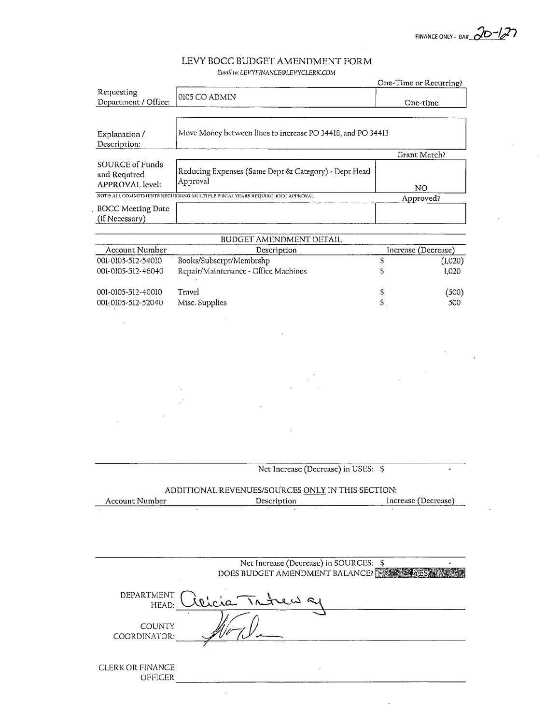FINANCE ONLY - BA#\_C ?

# LEVY BOCC BUDGET AMENDMENT EORM

|                                                    | Email to: LEVYFINANCE@LEVYCLERK.COM                                        |                        |         |
|----------------------------------------------------|----------------------------------------------------------------------------|------------------------|---------|
|                                                    |                                                                            | One-Time or Recurring? |         |
| Requesting<br>Department / Office:                 | 0105 CO ADMIN                                                              | One-time               |         |
|                                                    |                                                                            |                        |         |
| Explanation /<br>Description:                      | Move Money between lines to increase PO 34418, and PO 34413                |                        |         |
|                                                    |                                                                            | Grant Match?           |         |
| SOURCE of Funds<br>and Required<br>APPROVAL level: | Reducing Expenses (Same Dept & Category) - Dept Head<br>Approval           |                        |         |
|                                                    | NOTE ALL COMMITMENTS RECURRING MULTIPLE FISCAL YEARS REQUIRE BOCC APPROVAL | NO                     |         |
|                                                    |                                                                            | Approved?              |         |
| <b>BOCC Meeting Date</b><br>(if Necessary)         |                                                                            |                        |         |
|                                                    | BUDGET AMENDMENT DETAIL                                                    |                        |         |
| Account Number                                     | Description                                                                | Increase (Decrease)    |         |
| 001-0105-512-54010                                 | Books/Subscrpt/Membrshp                                                    | \$                     | (1,020) |
| 001-0105-512-46040                                 | Repair/Maintenance - Office Machines                                       | \$                     | 1,020   |
|                                                    |                                                                            |                        |         |
| 001-0105-512-40010                                 | Travel                                                                     | \$                     | (500)   |
| 001-0105-512-52040                                 | Misc. Supplies                                                             | \$                     | 500     |
|                                                    |                                                                            |                        |         |
|                                                    |                                                                            |                        |         |
|                                                    |                                                                            |                        |         |
|                                                    |                                                                            |                        |         |
|                                                    |                                                                            |                        |         |
|                                                    |                                                                            |                        |         |
|                                                    |                                                                            |                        |         |
|                                                    |                                                                            |                        |         |
|                                                    |                                                                            |                        |         |
|                                                    |                                                                            |                        |         |
|                                                    |                                                                            |                        |         |
|                                                    |                                                                            |                        |         |
|                                                    |                                                                            |                        |         |
|                                                    |                                                                            |                        |         |
|                                                    | Net Increase (Decrease) in USES: \$                                        |                        |         |
|                                                    |                                                                            |                        |         |
|                                                    | ADDITIONAL REVENUES/SOURCES ONLY IN THIS SECTION:                          |                        |         |
| Account Number                                     | Description                                                                | Increase (Decrease)    |         |
|                                                    |                                                                            |                        |         |
|                                                    |                                                                            |                        |         |
|                                                    |                                                                            |                        |         |
|                                                    |                                                                            |                        |         |
|                                                    | Net Increase (Decrease) in SOURCES: \$                                     |                        |         |

DOES BUDGET AMENDMENT BALANCE? DEPARTMENT  $\bigcap_{\alpha,\alpha,\beta,\gamma}$  ,  $\bigcap_{\alpha,\beta,\gamma}$ HEAD: Wicra **COUNTY** COORDINATOR: CLERK OR FINANCE OFFICER